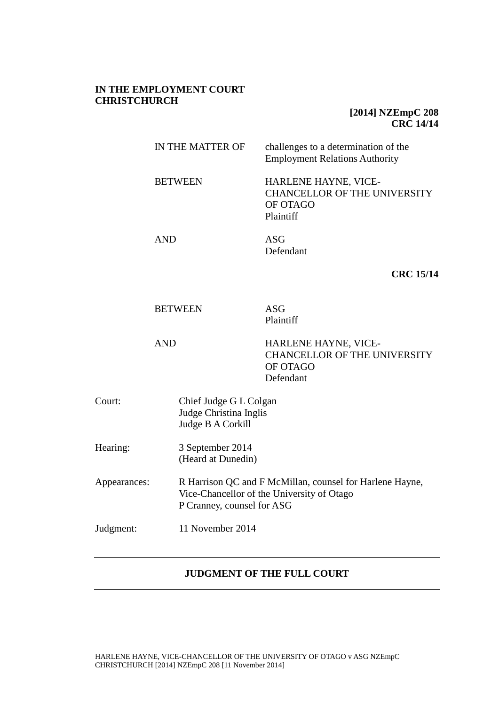### **IN THE EMPLOYMENT COURT CHRISTCHURCH**

# **[2014] NZEmpC 208 CRC 14/14**

|              | IN THE MATTER OF<br><b>BETWEEN</b><br><b>AND</b>                                                                                     |  | challenges to a determination of the<br><b>Employment Relations Authority</b>        |
|--------------|--------------------------------------------------------------------------------------------------------------------------------------|--|--------------------------------------------------------------------------------------|
|              |                                                                                                                                      |  | HARLENE HAYNE, VICE-<br><b>CHANCELLOR OF THE UNIVERSITY</b><br>OF OTAGO<br>Plaintiff |
|              |                                                                                                                                      |  | <b>ASG</b><br>Defendant                                                              |
|              |                                                                                                                                      |  | <b>CRC 15/14</b>                                                                     |
|              | <b>BETWEEN</b><br><b>AND</b>                                                                                                         |  | <b>ASG</b><br>Plaintiff                                                              |
|              |                                                                                                                                      |  | HARLENE HAYNE, VICE-<br><b>CHANCELLOR OF THE UNIVERSITY</b><br>OF OTAGO<br>Defendant |
| Court:       | Chief Judge G L Colgan<br>Judge Christina Inglis<br>Judge B A Corkill                                                                |  |                                                                                      |
| Hearing:     | 3 September 2014<br>(Heard at Dunedin)                                                                                               |  |                                                                                      |
| Appearances: | R Harrison QC and F McMillan, counsel for Harlene Hayne,<br>Vice-Chancellor of the University of Otago<br>P Cranney, counsel for ASG |  |                                                                                      |
| Judgment:    | 11 November 2014                                                                                                                     |  |                                                                                      |

## **JUDGMENT OF THE FULL COURT**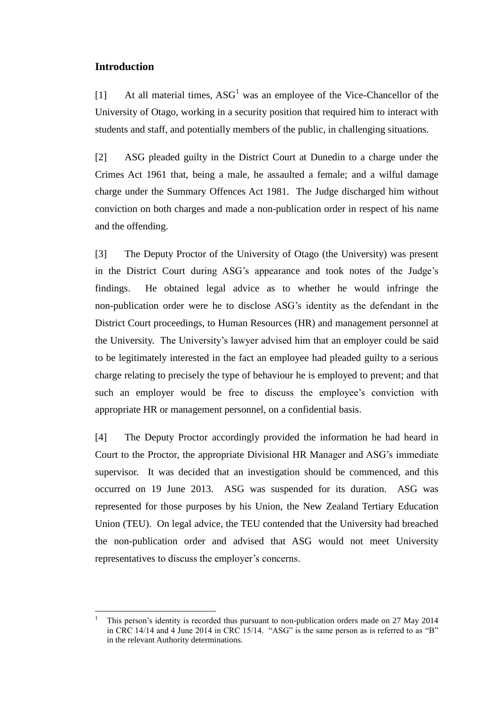### **Introduction**

 $\overline{a}$ 

[1] At all material times,  $ASG<sup>1</sup>$  was an employee of the Vice-Chancellor of the University of Otago, working in a security position that required him to interact with students and staff, and potentially members of the public, in challenging situations.

[2] ASG pleaded guilty in the District Court at Dunedin to a charge under the Crimes Act 1961 that, being a male, he assaulted a female; and a wilful damage charge under the Summary Offences Act 1981. The Judge discharged him without conviction on both charges and made a non-publication order in respect of his name and the offending.

[3] The Deputy Proctor of the University of Otago (the University) was present in the District Court during ASG's appearance and took notes of the Judge's findings. He obtained legal advice as to whether he would infringe the non-publication order were he to disclose ASG's identity as the defendant in the District Court proceedings, to Human Resources (HR) and management personnel at the University. The University's lawyer advised him that an employer could be said to be legitimately interested in the fact an employee had pleaded guilty to a serious charge relating to precisely the type of behaviour he is employed to prevent; and that such an employer would be free to discuss the employee's conviction with appropriate HR or management personnel, on a confidential basis.

[4] The Deputy Proctor accordingly provided the information he had heard in Court to the Proctor, the appropriate Divisional HR Manager and ASG's immediate supervisor. It was decided that an investigation should be commenced, and this occurred on 19 June 2013. ASG was suspended for its duration. ASG was represented for those purposes by his Union, the New Zealand Tertiary Education Union (TEU). On legal advice, the TEU contended that the University had breached the non-publication order and advised that ASG would not meet University representatives to discuss the employer's concerns.

<sup>1</sup> This person's identity is recorded thus pursuant to non-publication orders made on 27 May 2014 in CRC 14/14 and 4 June 2014 in CRC 15/14. "ASG" is the same person as is referred to as "B" in the relevant Authority determinations.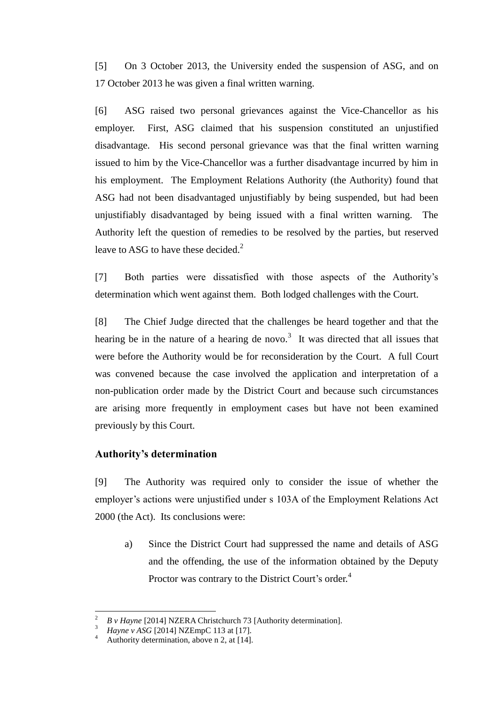[5] On 3 October 2013, the University ended the suspension of ASG, and on 17 October 2013 he was given a final written warning.

[6] ASG raised two personal grievances against the Vice-Chancellor as his employer. First, ASG claimed that his suspension constituted an unjustified disadvantage. His second personal grievance was that the final written warning issued to him by the Vice-Chancellor was a further disadvantage incurred by him in his employment. The Employment Relations Authority (the Authority) found that ASG had not been disadvantaged unjustifiably by being suspended, but had been unjustifiably disadvantaged by being issued with a final written warning. The Authority left the question of remedies to be resolved by the parties, but reserved leave to ASG to have these decided.<sup>2</sup>

[7] Both parties were dissatisfied with those aspects of the Authority's determination which went against them. Both lodged challenges with the Court.

[8] The Chief Judge directed that the challenges be heard together and that the hearing be in the nature of a hearing de novo.<sup>3</sup> It was directed that all issues that were before the Authority would be for reconsideration by the Court. A full Court was convened because the case involved the application and interpretation of a non-publication order made by the District Court and because such circumstances are arising more frequently in employment cases but have not been examined previously by this Court.

## **Authority's determination**

[9] The Authority was required only to consider the issue of whether the employer's actions were unjustified under s 103A of the Employment Relations Act 2000 (the Act). Its conclusions were:

a) Since the District Court had suppressed the name and details of ASG and the offending, the use of the information obtained by the Deputy Proctor was contrary to the District Court's order.<sup>4</sup>

<sup>2</sup> *B v Hayne* [2014] NZERA Christchurch 73 [Authority determination].

*Hayne v ASG* [2014] NZEmpC 113 at [17].

Authority determination, above n 2, at [14].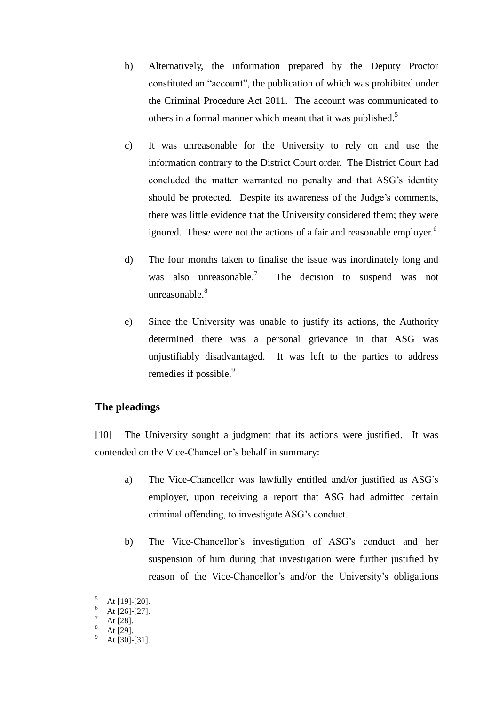- b) Alternatively, the information prepared by the Deputy Proctor constituted an "account", the publication of which was prohibited under the Criminal Procedure Act 2011. The account was communicated to others in a formal manner which meant that it was published.<sup>5</sup>
- c) It was unreasonable for the University to rely on and use the information contrary to the District Court order. The District Court had concluded the matter warranted no penalty and that ASG's identity should be protected. Despite its awareness of the Judge's comments, there was little evidence that the University considered them; they were ignored. These were not the actions of a fair and reasonable employer.<sup>6</sup>
- d) The four months taken to finalise the issue was inordinately long and was also unreasonable.<sup>7</sup> The decision to suspend was not unreasonable $8$
- e) Since the University was unable to justify its actions, the Authority determined there was a personal grievance in that ASG was unjustifiably disadvantaged. It was left to the parties to address remedies if possible.<sup>9</sup>

## **The pleadings**

[10] The University sought a judgment that its actions were justified. It was contended on the Vice-Chancellor's behalf in summary:

- a) The Vice-Chancellor was lawfully entitled and/or justified as ASG's employer, upon receiving a report that ASG had admitted certain criminal offending, to investigate ASG's conduct.
- b) The Vice-Chancellor's investigation of ASG's conduct and her suspension of him during that investigation were further justified by reason of the Vice-Chancellor's and/or the University's obligations

At [19]-[20].

At [26]-[27].

At [28].

At [29].

At [30]-[31].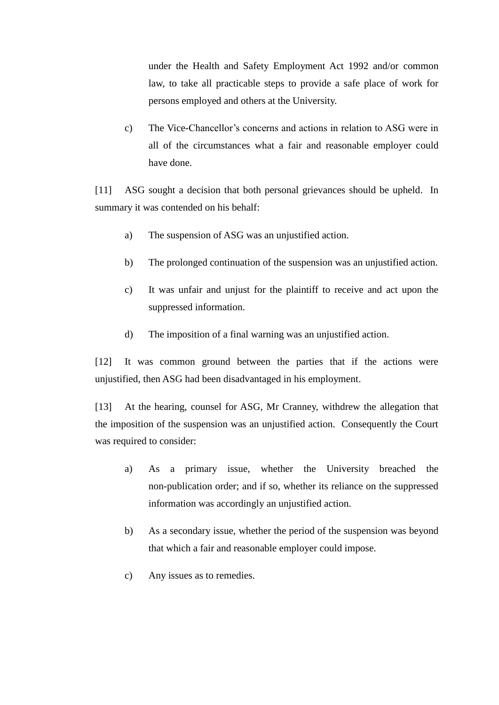under the Health and Safety Employment Act 1992 and/or common law, to take all practicable steps to provide a safe place of work for persons employed and others at the University.

c) The Vice-Chancellor's concerns and actions in relation to ASG were in all of the circumstances what a fair and reasonable employer could have done.

[11] ASG sought a decision that both personal grievances should be upheld. In summary it was contended on his behalf:

- a) The suspension of ASG was an unjustified action.
- b) The prolonged continuation of the suspension was an unjustified action.
- c) It was unfair and unjust for the plaintiff to receive and act upon the suppressed information.
- d) The imposition of a final warning was an unjustified action.

[12] It was common ground between the parties that if the actions were unjustified, then ASG had been disadvantaged in his employment.

[13] At the hearing, counsel for ASG, Mr Cranney, withdrew the allegation that the imposition of the suspension was an unjustified action. Consequently the Court was required to consider:

- a) As a primary issue, whether the University breached the non-publication order; and if so, whether its reliance on the suppressed information was accordingly an unjustified action.
- b) As a secondary issue, whether the period of the suspension was beyond that which a fair and reasonable employer could impose.
- c) Any issues as to remedies.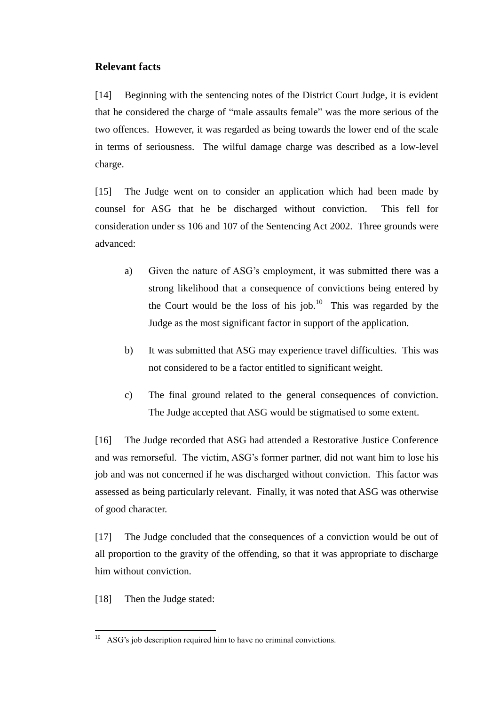# **Relevant facts**

[14] Beginning with the sentencing notes of the District Court Judge, it is evident that he considered the charge of "male assaults female" was the more serious of the two offences. However, it was regarded as being towards the lower end of the scale in terms of seriousness. The wilful damage charge was described as a low-level charge.

[15] The Judge went on to consider an application which had been made by counsel for ASG that he be discharged without conviction. This fell for consideration under ss 106 and 107 of the Sentencing Act 2002. Three grounds were advanced:

- a) Given the nature of ASG's employment, it was submitted there was a strong likelihood that a consequence of convictions being entered by the Court would be the loss of his job.<sup>10</sup> This was regarded by the Judge as the most significant factor in support of the application.
- b) It was submitted that ASG may experience travel difficulties. This was not considered to be a factor entitled to significant weight.
- c) The final ground related to the general consequences of conviction. The Judge accepted that ASG would be stigmatised to some extent.

[16] The Judge recorded that ASG had attended a Restorative Justice Conference and was remorseful. The victim, ASG's former partner, did not want him to lose his job and was not concerned if he was discharged without conviction. This factor was assessed as being particularly relevant. Finally, it was noted that ASG was otherwise of good character.

[17] The Judge concluded that the consequences of a conviction would be out of all proportion to the gravity of the offending, so that it was appropriate to discharge him without conviction.

[18] Then the Judge stated:

 $\overline{a}$  $10$  ASG's job description required him to have no criminal convictions.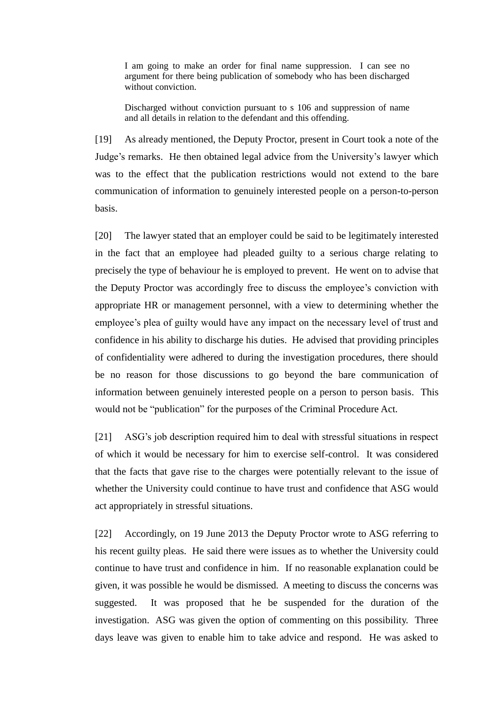I am going to make an order for final name suppression. I can see no argument for there being publication of somebody who has been discharged without conviction.

Discharged without conviction pursuant to s 106 and suppression of name and all details in relation to the defendant and this offending.

[19] As already mentioned, the Deputy Proctor, present in Court took a note of the Judge's remarks. He then obtained legal advice from the University's lawyer which was to the effect that the publication restrictions would not extend to the bare communication of information to genuinely interested people on a person-to-person basis.

[20] The lawyer stated that an employer could be said to be legitimately interested in the fact that an employee had pleaded guilty to a serious charge relating to precisely the type of behaviour he is employed to prevent. He went on to advise that the Deputy Proctor was accordingly free to discuss the employee's conviction with appropriate HR or management personnel, with a view to determining whether the employee's plea of guilty would have any impact on the necessary level of trust and confidence in his ability to discharge his duties. He advised that providing principles of confidentiality were adhered to during the investigation procedures, there should be no reason for those discussions to go beyond the bare communication of information between genuinely interested people on a person to person basis. This would not be "publication" for the purposes of the Criminal Procedure Act.

[21] ASG's job description required him to deal with stressful situations in respect of which it would be necessary for him to exercise self-control. It was considered that the facts that gave rise to the charges were potentially relevant to the issue of whether the University could continue to have trust and confidence that ASG would act appropriately in stressful situations.

[22] Accordingly, on 19 June 2013 the Deputy Proctor wrote to ASG referring to his recent guilty pleas. He said there were issues as to whether the University could continue to have trust and confidence in him. If no reasonable explanation could be given, it was possible he would be dismissed. A meeting to discuss the concerns was suggested. It was proposed that he be suspended for the duration of the investigation. ASG was given the option of commenting on this possibility. Three days leave was given to enable him to take advice and respond. He was asked to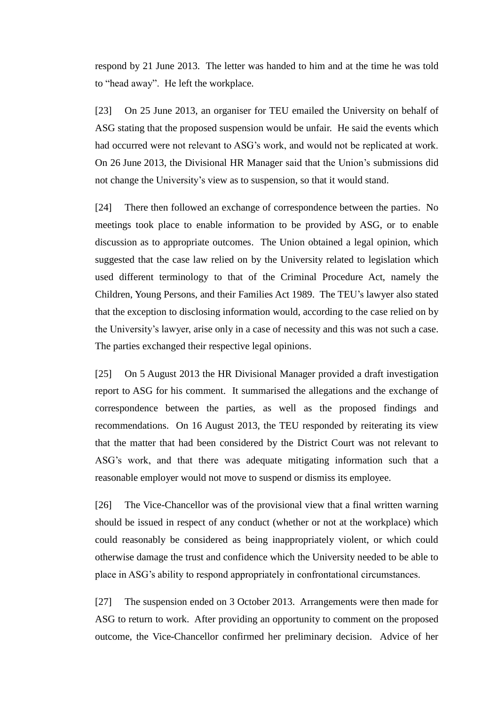respond by 21 June 2013. The letter was handed to him and at the time he was told to "head away". He left the workplace.

[23] On 25 June 2013, an organiser for TEU emailed the University on behalf of ASG stating that the proposed suspension would be unfair. He said the events which had occurred were not relevant to ASG's work, and would not be replicated at work. On 26 June 2013, the Divisional HR Manager said that the Union's submissions did not change the University's view as to suspension, so that it would stand.

[24] There then followed an exchange of correspondence between the parties. No meetings took place to enable information to be provided by ASG, or to enable discussion as to appropriate outcomes. The Union obtained a legal opinion, which suggested that the case law relied on by the University related to legislation which used different terminology to that of the Criminal Procedure Act, namely the Children, Young Persons, and their Families Act 1989. The TEU's lawyer also stated that the exception to disclosing information would, according to the case relied on by the University's lawyer, arise only in a case of necessity and this was not such a case. The parties exchanged their respective legal opinions.

[25] On 5 August 2013 the HR Divisional Manager provided a draft investigation report to ASG for his comment. It summarised the allegations and the exchange of correspondence between the parties, as well as the proposed findings and recommendations. On 16 August 2013, the TEU responded by reiterating its view that the matter that had been considered by the District Court was not relevant to ASG's work, and that there was adequate mitigating information such that a reasonable employer would not move to suspend or dismiss its employee.

[26] The Vice-Chancellor was of the provisional view that a final written warning should be issued in respect of any conduct (whether or not at the workplace) which could reasonably be considered as being inappropriately violent, or which could otherwise damage the trust and confidence which the University needed to be able to place in ASG's ability to respond appropriately in confrontational circumstances.

[27] The suspension ended on 3 October 2013. Arrangements were then made for ASG to return to work. After providing an opportunity to comment on the proposed outcome, the Vice-Chancellor confirmed her preliminary decision. Advice of her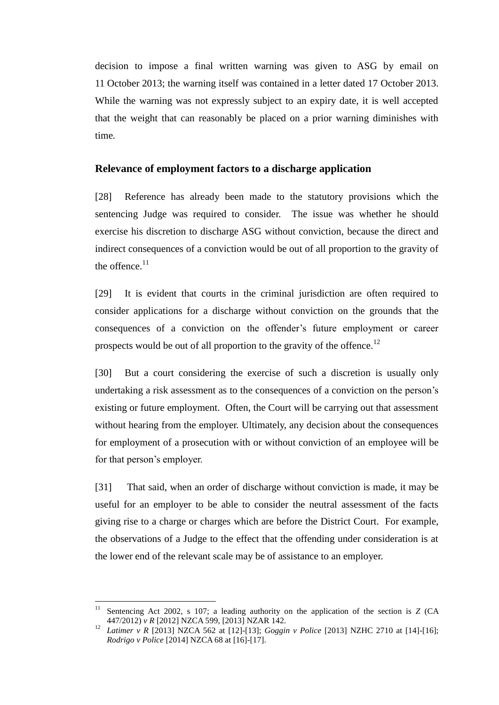decision to impose a final written warning was given to ASG by email on 11 October 2013; the warning itself was contained in a letter dated 17 October 2013. While the warning was not expressly subject to an expiry date, it is well accepted that the weight that can reasonably be placed on a prior warning diminishes with time*.* 

#### **Relevance of employment factors to a discharge application**

[28] Reference has already been made to the statutory provisions which the sentencing Judge was required to consider. The issue was whether he should exercise his discretion to discharge ASG without conviction, because the direct and indirect consequences of a conviction would be out of all proportion to the gravity of the offence. $11$ 

[29] It is evident that courts in the criminal jurisdiction are often required to consider applications for a discharge without conviction on the grounds that the consequences of a conviction on the offender's future employment or career prospects would be out of all proportion to the gravity of the offence.<sup>12</sup>

[30] But a court considering the exercise of such a discretion is usually only undertaking a risk assessment as to the consequences of a conviction on the person's existing or future employment. Often, the Court will be carrying out that assessment without hearing from the employer. Ultimately, any decision about the consequences for employment of a prosecution with or without conviction of an employee will be for that person's employer.

[31] That said, when an order of discharge without conviction is made, it may be useful for an employer to be able to consider the neutral assessment of the facts giving rise to a charge or charges which are before the District Court. For example, the observations of a Judge to the effect that the offending under consideration is at the lower end of the relevant scale may be of assistance to an employer.

<sup>11</sup> Sentencing Act 2002, s 107; a leading authority on the application of the section is *Z* (CA 447/2012) *v R* [2012] NZCA 599, [2013] NZAR 142.

<sup>12</sup> *Latimer v R* [2013] NZCA 562 at [12]-[13]; *Goggin v Police* [2013] NZHC 2710 at [14]-[16]; *Rodrigo v Police* [2014] NZCA 68 at [16]-[17].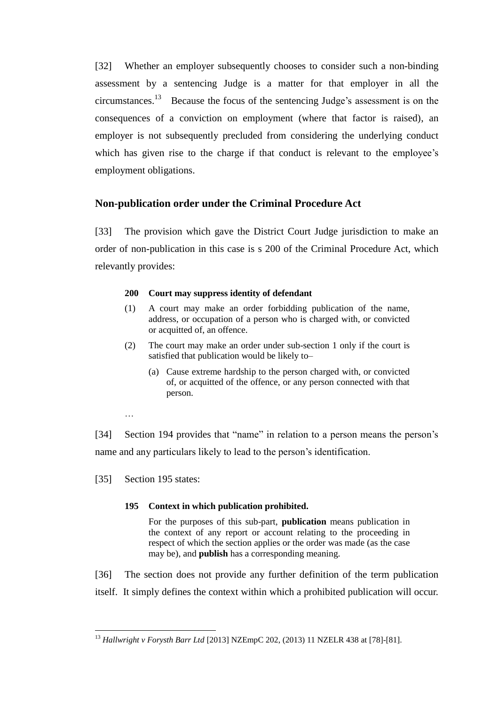[32] Whether an employer subsequently chooses to consider such a non-binding assessment by a sentencing Judge is a matter for that employer in all the circumstances.<sup>13</sup> Because the focus of the sentencing Judge's assessment is on the consequences of a conviction on employment (where that factor is raised), an employer is not subsequently precluded from considering the underlying conduct which has given rise to the charge if that conduct is relevant to the employee's employment obligations.

# **Non-publication order under the Criminal Procedure Act**

[33] The provision which gave the District Court Judge jurisdiction to make an order of non-publication in this case is s 200 of the Criminal Procedure Act, which relevantly provides:

#### **200 Court may suppress identity of defendant**

- (1) A court may make an order forbidding publication of the name, address, or occupation of a person who is charged with, or convicted or acquitted of, an offence.
- (2) The court may make an order under sub-section 1 only if the court is satisfied that publication would be likely to–
	- (a) Cause extreme hardship to the person charged with, or convicted of, or acquitted of the offence, or any person connected with that person.
- …

 $\overline{a}$ 

[34] Section 194 provides that "name" in relation to a person means the person's name and any particulars likely to lead to the person's identification.

[35] Section 195 states:

#### **195 Context in which publication prohibited.**

For the purposes of this sub-part, **publication** means publication in the context of any report or account relating to the proceeding in respect of which the section applies or the order was made (as the case may be), and **publish** has a corresponding meaning.

[36] The section does not provide any further definition of the term publication itself. It simply defines the context within which a prohibited publication will occur.

<sup>13</sup> *Hallwright v Forysth Barr Ltd* [2013] NZEmpC 202, (2013) 11 NZELR 438 at [78]-[81].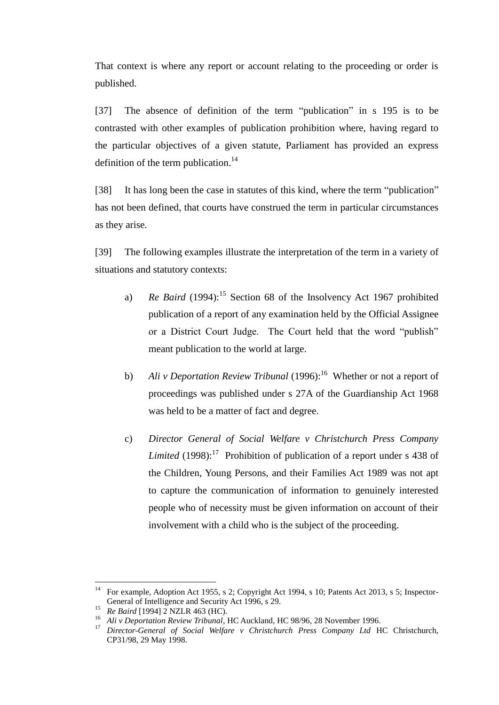That context is where any report or account relating to the proceeding or order is published.

[37] The absence of definition of the term "publication" in s 195 is to be contrasted with other examples of publication prohibition where, having regard to the particular objectives of a given statute, Parliament has provided an express definition of the term publication.<sup>14</sup>

[38] It has long been the case in statutes of this kind, where the term "publication" has not been defined, that courts have construed the term in particular circumstances as they arise.

[39] The following examples illustrate the interpretation of the term in a variety of situations and statutory contexts:

- a) *Re Baird* (1994):<sup>15</sup> Section 68 of the Insolvency Act 1967 prohibited publication of a report of any examination held by the Official Assignee or a District Court Judge. The Court held that the word "publish" meant publication to the world at large.
- b) *Ali v Deportation Review Tribunal* (1996):<sup>16</sup> Whether or not a report of proceedings was published under s 27A of the Guardianship Act 1968 was held to be a matter of fact and degree.
- c) *Director General of Social Welfare v Christchurch Press Company Limited* (1998):<sup>17</sup> Prohibition of publication of a report under s 438 of the Children, Young Persons, and their Families Act 1989 was not apt to capture the communication of information to genuinely interested people who of necessity must be given information on account of their involvement with a child who is the subject of the proceeding.

<sup>&</sup>lt;sup>14</sup> For example, Adoption Act 1955, s 2; Copyright Act 1994, s 10; Patents Act 2013, s 5; Inspector-General of Intelligence and Security Act 1996, s 29.

<sup>15</sup> *Re Baird* [1994] 2 NZLR 463 (HC).

<sup>16</sup> *Ali v Deportation Review Tribunal*, HC Auckland, HC 98/96, 28 November 1996.

<sup>17</sup> *Director-General of Social Welfare v Christchurch Press Company Ltd* HC Christchurch, CP31/98, 29 May 1998.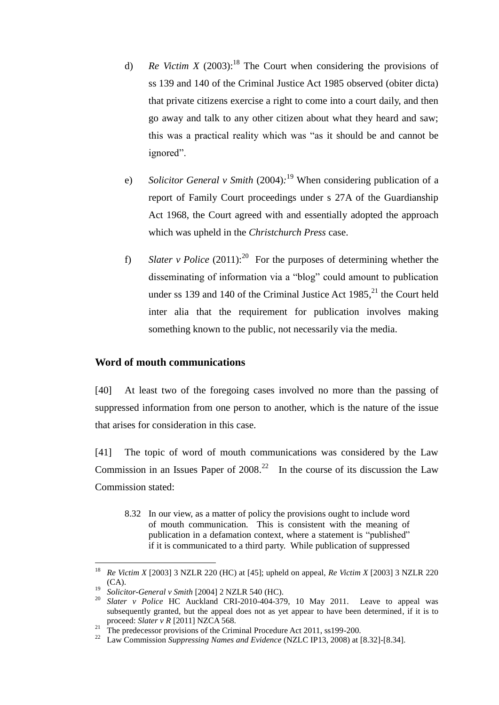- d) *Re Victim X* (2003):<sup>18</sup> The Court when considering the provisions of ss 139 and 140 of the Criminal Justice Act 1985 observed (obiter dicta) that private citizens exercise a right to come into a court daily, and then go away and talk to any other citizen about what they heard and saw; this was a practical reality which was "as it should be and cannot be ignored".
- e) *Solicitor General v Smith* (2004)*:* <sup>19</sup> When considering publication of a report of Family Court proceedings under s 27A of the Guardianship Act 1968, the Court agreed with and essentially adopted the approach which was upheld in the *Christchurch Press* case.
- f) *Slater v Police*  $(2011)$ :<sup>20</sup> For the purposes of determining whether the disseminating of information via a "blog" could amount to publication under ss 139 and 140 of the Criminal Justice Act  $1985$ ,<sup>21</sup> the Court held inter alia that the requirement for publication involves making something known to the public, not necessarily via the media.

#### **Word of mouth communications**

[40] At least two of the foregoing cases involved no more than the passing of suppressed information from one person to another, which is the nature of the issue that arises for consideration in this case.

[41] The topic of word of mouth communications was considered by the Law Commission in an Issues Paper of  $2008<sup>22</sup>$  In the course of its discussion the Law Commission stated:

8.32 In our view, as a matter of policy the provisions ought to include word of mouth communication. This is consistent with the meaning of publication in a defamation context, where a statement is "published" if it is communicated to a third party. While publication of suppressed

<sup>18</sup> *Re Victim X* [2003] 3 NZLR 220 (HC) at [45]; upheld on appeal, *Re Victim X* [2003] 3 NZLR 220 (CA).

<sup>19</sup> *Solicitor-General v Smith* [2004] 2 NZLR 540 (HC).

<sup>20</sup> *Slater v Police* HC Auckland CRI-2010-404-379, 10 May 2011. Leave to appeal was subsequently granted, but the appeal does not as yet appear to have been determined, if it is to proceed: *Slater v R* [2011] NZCA 568.

<sup>&</sup>lt;sup>21</sup> The predecessor provisions of the Criminal Procedure Act 2011, ss199-200.

<sup>22</sup> Law Commission *Suppressing Names and Evidence* (NZLC IP13, 2008) at [8.32]-[8.34].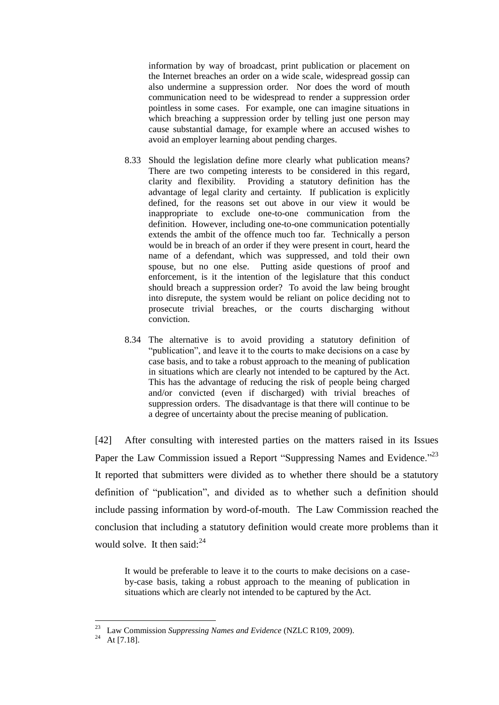information by way of broadcast, print publication or placement on the Internet breaches an order on a wide scale, widespread gossip can also undermine a suppression order. Nor does the word of mouth communication need to be widespread to render a suppression order pointless in some cases. For example, one can imagine situations in which breaching a suppression order by telling just one person may cause substantial damage, for example where an accused wishes to avoid an employer learning about pending charges.

- 8.33 Should the legislation define more clearly what publication means? There are two competing interests to be considered in this regard, clarity and flexibility. Providing a statutory definition has the advantage of legal clarity and certainty. If publication is explicitly defined, for the reasons set out above in our view it would be inappropriate to exclude one-to-one communication from the definition. However, including one-to-one communication potentially extends the ambit of the offence much too far. Technically a person would be in breach of an order if they were present in court, heard the name of a defendant, which was suppressed, and told their own spouse, but no one else. Putting aside questions of proof and enforcement, is it the intention of the legislature that this conduct should breach a suppression order? To avoid the law being brought into disrepute, the system would be reliant on police deciding not to prosecute trivial breaches, or the courts discharging without conviction.
- 8.34 The alternative is to avoid providing a statutory definition of "publication", and leave it to the courts to make decisions on a case by case basis, and to take a robust approach to the meaning of publication in situations which are clearly not intended to be captured by the Act. This has the advantage of reducing the risk of people being charged and/or convicted (even if discharged) with trivial breaches of suppression orders. The disadvantage is that there will continue to be a degree of uncertainty about the precise meaning of publication.

[42] After consulting with interested parties on the matters raised in its Issues Paper the Law Commission issued a Report "Suppressing Names and Evidence."<sup>23</sup> It reported that submitters were divided as to whether there should be a statutory definition of "publication", and divided as to whether such a definition should include passing information by word-of-mouth. The Law Commission reached the conclusion that including a statutory definition would create more problems than it would solve. It then said: $^{24}$ 

It would be preferable to leave it to the courts to make decisions on a caseby-case basis, taking a robust approach to the meaning of publication in situations which are clearly not intended to be captured by the Act.

<sup>23</sup> Law Commission *Suppressing Names and Evidence* (NZLC R109, 2009).

<sup>&</sup>lt;sup>24</sup> At [7.18].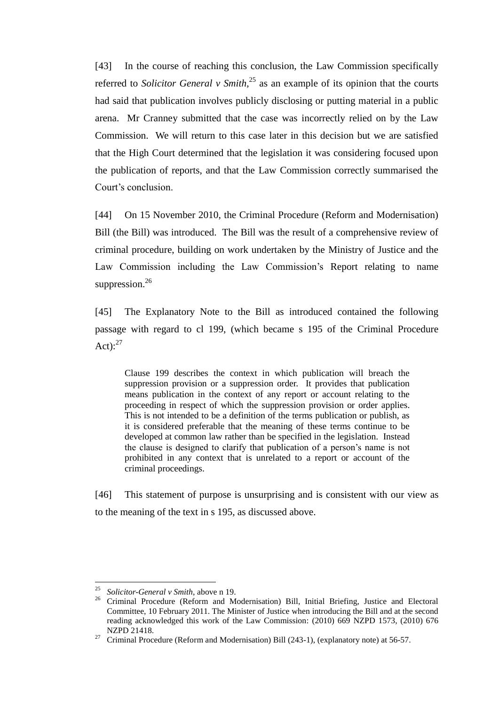[43] In the course of reaching this conclusion, the Law Commission specifically referred to *Solicitor General v Smith*, <sup>25</sup> as an example of its opinion that the courts had said that publication involves publicly disclosing or putting material in a public arena. Mr Cranney submitted that the case was incorrectly relied on by the Law Commission. We will return to this case later in this decision but we are satisfied that the High Court determined that the legislation it was considering focused upon the publication of reports, and that the Law Commission correctly summarised the Court's conclusion.

[44] On 15 November 2010, the Criminal Procedure (Reform and Modernisation) Bill (the Bill) was introduced. The Bill was the result of a comprehensive review of criminal procedure, building on work undertaken by the Ministry of Justice and the Law Commission including the Law Commission's Report relating to name suppression.<sup>26</sup>

[45] The Explanatory Note to the Bill as introduced contained the following passage with regard to cl 199, (which became s 195 of the Criminal Procedure Act): $27$ 

Clause 199 describes the context in which publication will breach the suppression provision or a suppression order. It provides that publication means publication in the context of any report or account relating to the proceeding in respect of which the suppression provision or order applies. This is not intended to be a definition of the terms publication or publish, as it is considered preferable that the meaning of these terms continue to be developed at common law rather than be specified in the legislation. Instead the clause is designed to clarify that publication of a person's name is not prohibited in any context that is unrelated to a report or account of the criminal proceedings.

[46] This statement of purpose is unsurprising and is consistent with our view as to the meaning of the text in s 195, as discussed above.

<sup>25</sup> *Solicitor-General v Smith*, above n 19.

<sup>&</sup>lt;sup>26</sup> Criminal Procedure (Reform and Modernisation) Bill, Initial Briefing, Justice and Electoral Committee, 10 February 2011. The Minister of Justice when introducing the Bill and at the second reading acknowledged this work of the Law Commission: (2010) 669 NZPD 1573, (2010) 676 NZPD 21418.

<sup>&</sup>lt;sup>27</sup> Criminal Procedure (Reform and Modernisation) Bill (243-1), (explanatory note) at 56-57.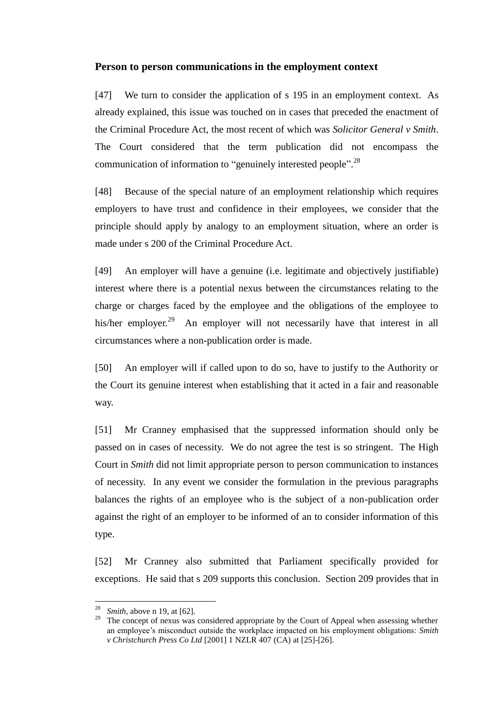### **Person to person communications in the employment context**

[47] We turn to consider the application of s 195 in an employment context. As already explained, this issue was touched on in cases that preceded the enactment of the Criminal Procedure Act, the most recent of which was *Solicitor General v Smith*. The Court considered that the term publication did not encompass the communication of information to "genuinely interested people".<sup>28</sup>

[48] Because of the special nature of an employment relationship which requires employers to have trust and confidence in their employees, we consider that the principle should apply by analogy to an employment situation, where an order is made under s 200 of the Criminal Procedure Act.

[49] An employer will have a genuine (i.e. legitimate and objectively justifiable) interest where there is a potential nexus between the circumstances relating to the charge or charges faced by the employee and the obligations of the employee to his/her employer.<sup>29</sup> An employer will not necessarily have that interest in all circumstances where a non-publication order is made.

[50] An employer will if called upon to do so, have to justify to the Authority or the Court its genuine interest when establishing that it acted in a fair and reasonable way.

[51] Mr Cranney emphasised that the suppressed information should only be passed on in cases of necessity. We do not agree the test is so stringent. The High Court in *Smith* did not limit appropriate person to person communication to instances of necessity. In any event we consider the formulation in the previous paragraphs balances the rights of an employee who is the subject of a non-publication order against the right of an employer to be informed of an to consider information of this type.

[52] Mr Cranney also submitted that Parliament specifically provided for exceptions. He said that s 209 supports this conclusion. Section 209 provides that in

*Smith*, above n 19, at [62].

<sup>&</sup>lt;sup>29</sup> The concept of nexus was considered appropriate by the Court of Appeal when assessing whether an employee's misconduct outside the workplace impacted on his employment obligations: *Smith v Christchurch Press Co Ltd* [2001] 1 NZLR 407 (CA) at [25]-[26].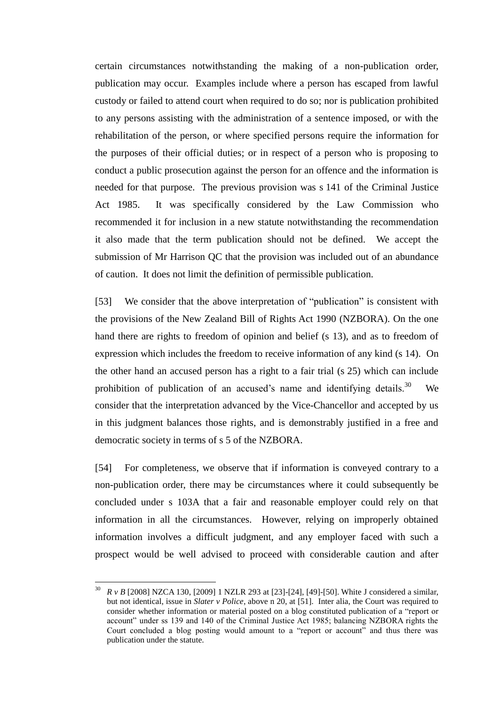certain circumstances notwithstanding the making of a non-publication order, publication may occur. Examples include where a person has escaped from lawful custody or failed to attend court when required to do so; nor is publication prohibited to any persons assisting with the administration of a sentence imposed, or with the rehabilitation of the person, or where specified persons require the information for the purposes of their official duties; or in respect of a person who is proposing to conduct a public prosecution against the person for an offence and the information is needed for that purpose. The previous provision was s 141 of the Criminal Justice Act 1985. It was specifically considered by the Law Commission who recommended it for inclusion in a new statute notwithstanding the recommendation it also made that the term publication should not be defined. We accept the submission of Mr Harrison QC that the provision was included out of an abundance of caution. It does not limit the definition of permissible publication.

[53] We consider that the above interpretation of "publication" is consistent with the provisions of the New Zealand Bill of Rights Act 1990 (NZBORA). On the one hand there are rights to freedom of opinion and belief (s 13), and as to freedom of expression which includes the freedom to receive information of any kind (s 14). On the other hand an accused person has a right to a fair trial (s 25) which can include prohibition of publication of an accused's name and identifying details.<sup>30</sup> We consider that the interpretation advanced by the Vice-Chancellor and accepted by us in this judgment balances those rights, and is demonstrably justified in a free and democratic society in terms of s 5 of the NZBORA.

[54] For completeness, we observe that if information is conveyed contrary to a non-publication order, there may be circumstances where it could subsequently be concluded under s 103A that a fair and reasonable employer could rely on that information in all the circumstances. However, relying on improperly obtained information involves a difficult judgment, and any employer faced with such a prospect would be well advised to proceed with considerable caution and after

<sup>30</sup> <sup>30</sup> *R v B* [2008] NZCA 130, [2009] 1 NZLR 293 at [23]-[24], [49]-[50]. White J considered a similar, but not identical, issue in *Slater v Police*, above n 20, at [51]. Inter alia, the Court was required to consider whether information or material posted on a blog constituted publication of a "report or account" under ss 139 and 140 of the Criminal Justice Act 1985; balancing NZBORA rights the Court concluded a blog posting would amount to a "report or account" and thus there was publication under the statute.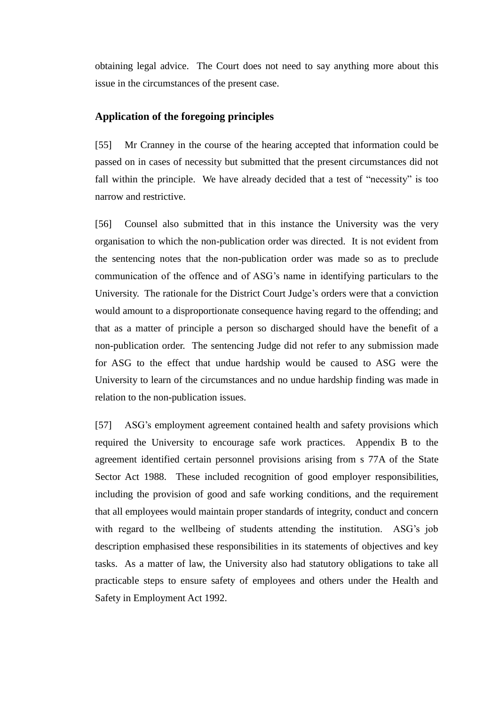obtaining legal advice. The Court does not need to say anything more about this issue in the circumstances of the present case.

#### **Application of the foregoing principles**

[55] Mr Cranney in the course of the hearing accepted that information could be passed on in cases of necessity but submitted that the present circumstances did not fall within the principle. We have already decided that a test of "necessity" is too narrow and restrictive.

[56] Counsel also submitted that in this instance the University was the very organisation to which the non-publication order was directed. It is not evident from the sentencing notes that the non-publication order was made so as to preclude communication of the offence and of ASG's name in identifying particulars to the University. The rationale for the District Court Judge's orders were that a conviction would amount to a disproportionate consequence having regard to the offending; and that as a matter of principle a person so discharged should have the benefit of a non-publication order. The sentencing Judge did not refer to any submission made for ASG to the effect that undue hardship would be caused to ASG were the University to learn of the circumstances and no undue hardship finding was made in relation to the non-publication issues.

[57] ASG's employment agreement contained health and safety provisions which required the University to encourage safe work practices. Appendix B to the agreement identified certain personnel provisions arising from s 77A of the State Sector Act 1988. These included recognition of good employer responsibilities, including the provision of good and safe working conditions, and the requirement that all employees would maintain proper standards of integrity, conduct and concern with regard to the wellbeing of students attending the institution. ASG's job description emphasised these responsibilities in its statements of objectives and key tasks. As a matter of law, the University also had statutory obligations to take all practicable steps to ensure safety of employees and others under the Health and Safety in Employment Act 1992.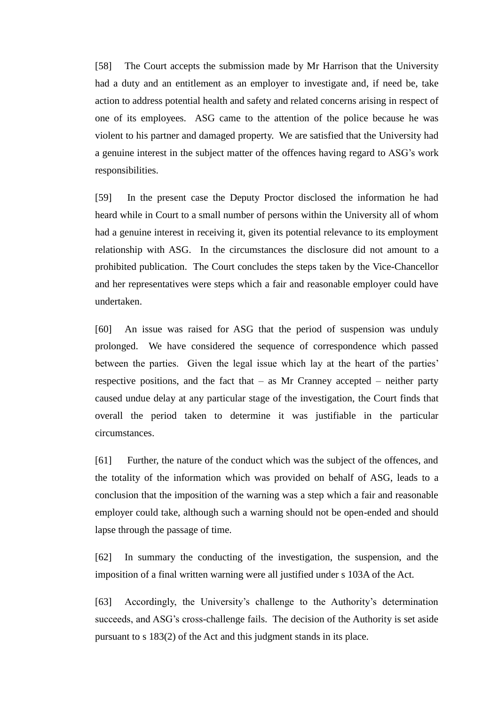[58] The Court accepts the submission made by Mr Harrison that the University had a duty and an entitlement as an employer to investigate and, if need be, take action to address potential health and safety and related concerns arising in respect of one of its employees. ASG came to the attention of the police because he was violent to his partner and damaged property. We are satisfied that the University had a genuine interest in the subject matter of the offences having regard to ASG's work responsibilities.

[59] In the present case the Deputy Proctor disclosed the information he had heard while in Court to a small number of persons within the University all of whom had a genuine interest in receiving it, given its potential relevance to its employment relationship with ASG. In the circumstances the disclosure did not amount to a prohibited publication. The Court concludes the steps taken by the Vice-Chancellor and her representatives were steps which a fair and reasonable employer could have undertaken.

[60] An issue was raised for ASG that the period of suspension was unduly prolonged. We have considered the sequence of correspondence which passed between the parties. Given the legal issue which lay at the heart of the parties' respective positions, and the fact that  $-$  as Mr Cranney accepted  $-$  neither party caused undue delay at any particular stage of the investigation, the Court finds that overall the period taken to determine it was justifiable in the particular circumstances.

[61] Further, the nature of the conduct which was the subject of the offences, and the totality of the information which was provided on behalf of ASG, leads to a conclusion that the imposition of the warning was a step which a fair and reasonable employer could take, although such a warning should not be open-ended and should lapse through the passage of time.

[62] In summary the conducting of the investigation, the suspension, and the imposition of a final written warning were all justified under s 103A of the Act.

[63] Accordingly, the University's challenge to the Authority's determination succeeds, and ASG's cross-challenge fails. The decision of the Authority is set aside pursuant to s 183(2) of the Act and this judgment stands in its place.